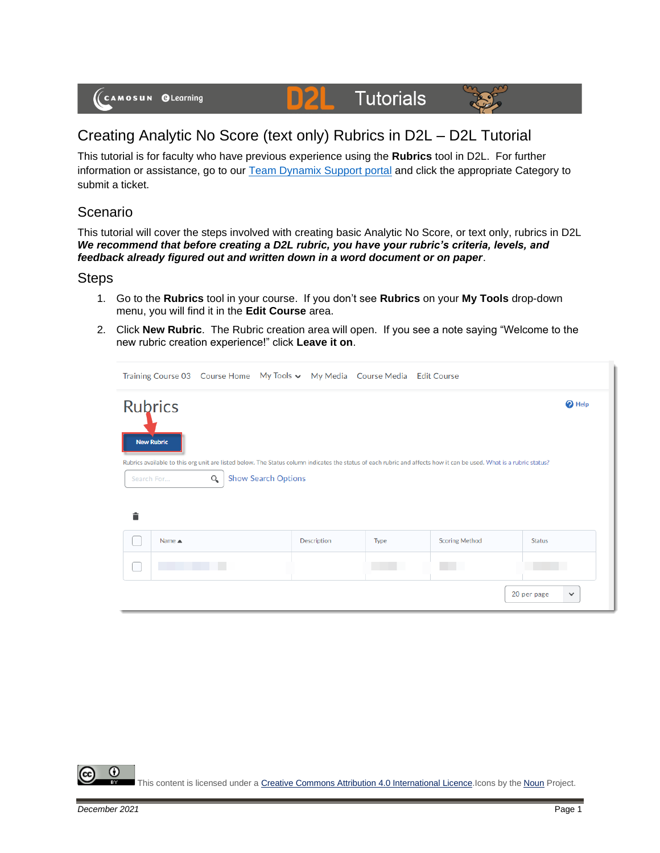# **Tutorials**



## Creating Analytic No Score (text only) Rubrics in D2L – D2L Tutorial

D

This tutorial is for faculty who have previous experience using the **Rubrics** tool in D2L. For further information or assistance, go to our [Team Dynamix Support portal](https://camosun.teamdynamix.com/TDClient/67/Portal/Requests/ServiceCatalog?CategoryID=523) and click the appropriate Category to submit a ticket.

#### Scenario

This tutorial will cover the steps involved with creating basic Analytic No Score, or text only, rubrics in D2L *We recommend that before creating a D2L rubric, you have your rubric's criteria, levels, and feedback already figured out and written down in a word document or on paper*.

#### **Steps**

- 1. Go to the **Rubrics** tool in your course. If you don't see **Rubrics** on your **My Tools** drop-down menu, you will find it in the **Edit Course** area.
- 2. Click **New Rubric**. The Rubric creation area will open. If you see a note saying "Welcome to the new rubric creation experience!" click **Leave it on**.

|   |                                     |          |                            |             | Training Course 03 Course Home My Tools v My Media Course Media Edit Course |                                                                                                                                                                     |                             |
|---|-------------------------------------|----------|----------------------------|-------------|-----------------------------------------------------------------------------|---------------------------------------------------------------------------------------------------------------------------------------------------------------------|-----------------------------|
|   | <b>Rubrics</b><br><b>New Rubric</b> |          |                            |             |                                                                             |                                                                                                                                                                     | $\bullet$ Help              |
|   | Search For                          | $\alpha$ | <b>Show Search Options</b> |             |                                                                             | Rubrics available to this org unit are listed below. The Status column indicates the status of each rubric and affects how it can be used. What is a rubric status? |                             |
| 貪 |                                     |          |                            |             |                                                                             |                                                                                                                                                                     |                             |
|   | Name $\triangle$                    |          |                            | Description | Type                                                                        | <b>Scoring Method</b>                                                                                                                                               | <b>Status</b>               |
|   |                                     |          |                            |             |                                                                             |                                                                                                                                                                     |                             |
|   |                                     |          |                            |             |                                                                             |                                                                                                                                                                     | 20 per page<br>$\checkmark$ |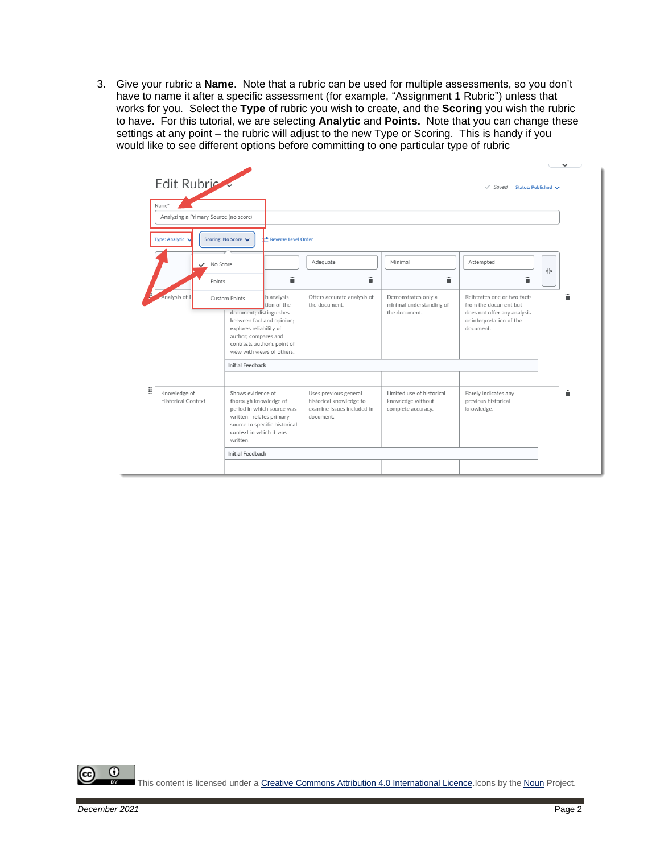3. Give your rubric a **Name**. Note that a rubric can be used for multiple assessments, so you don't have to name it after a specific assessment (for example, "Assignment 1 Rubric") unless that works for you. Select the **Type** of rubric you wish to create, and the **Scoring** you wish the rubric to have. For this tutorial, we are selecting **Analytic** and **Points.** Note that you can change these settings at any point – the rubric will adjust to the new Type or Scoring. This is handy if you would like to see different options before committing to one particular type of rubric

| Analyzing a Primary Source (no score)<br>Type: Analytic<br>Scoring: No Score V<br>Reverse Level Order<br>Adequate<br>Minimal<br>Attempted<br>No Score<br>î<br>â<br>â<br>Points<br>Analysis of I<br>th analysis<br>Offers accurate analysis of<br>Demonstrates only a<br>Custom Points<br>tion of the<br>the document.<br>minimal understanding of<br>from the document but<br>document; distinguishes<br>the document.<br>or interpretation of the<br>between fact and opinion;<br>explores reliability of<br>document.<br>author; compares and<br>contrasts author's point of<br>view with views of others.<br><b>Initial Feedback</b><br>Knowledge of<br>Shows evidence of<br>Uses previous general<br>Limited use of historical<br>Barely indicates any<br>previous historical<br><b>Historical Context</b><br>thorough knowledge of<br>historical knowledge to<br>knowledge without<br>examine issues included in<br>period in which source was<br>knowledge.<br>complete accuracy.<br>written; relates primary<br>document. | Name* |                               |  |                                                            |   |
|----------------------------------------------------------------------------------------------------------------------------------------------------------------------------------------------------------------------------------------------------------------------------------------------------------------------------------------------------------------------------------------------------------------------------------------------------------------------------------------------------------------------------------------------------------------------------------------------------------------------------------------------------------------------------------------------------------------------------------------------------------------------------------------------------------------------------------------------------------------------------------------------------------------------------------------------------------------------------------------------------------------------------------|-------|-------------------------------|--|------------------------------------------------------------|---|
|                                                                                                                                                                                                                                                                                                                                                                                                                                                                                                                                                                                                                                                                                                                                                                                                                                                                                                                                                                                                                                  |       |                               |  |                                                            |   |
|                                                                                                                                                                                                                                                                                                                                                                                                                                                                                                                                                                                                                                                                                                                                                                                                                                                                                                                                                                                                                                  |       |                               |  |                                                            |   |
|                                                                                                                                                                                                                                                                                                                                                                                                                                                                                                                                                                                                                                                                                                                                                                                                                                                                                                                                                                                                                                  |       |                               |  |                                                            | ⊕ |
|                                                                                                                                                                                                                                                                                                                                                                                                                                                                                                                                                                                                                                                                                                                                                                                                                                                                                                                                                                                                                                  |       |                               |  | Reiterates one or two facts<br>does not offer any analysis |   |
| context in which it was<br>written.                                                                                                                                                                                                                                                                                                                                                                                                                                                                                                                                                                                                                                                                                                                                                                                                                                                                                                                                                                                              |       | source to specific historical |  |                                                            |   |

 $\odot$ This content is licensed under [a Creative Commons Attribution 4.0 International Licence.I](https://creativecommons.org/licenses/by/4.0/)cons by the [Noun](https://creativecommons.org/website-icons/) Project.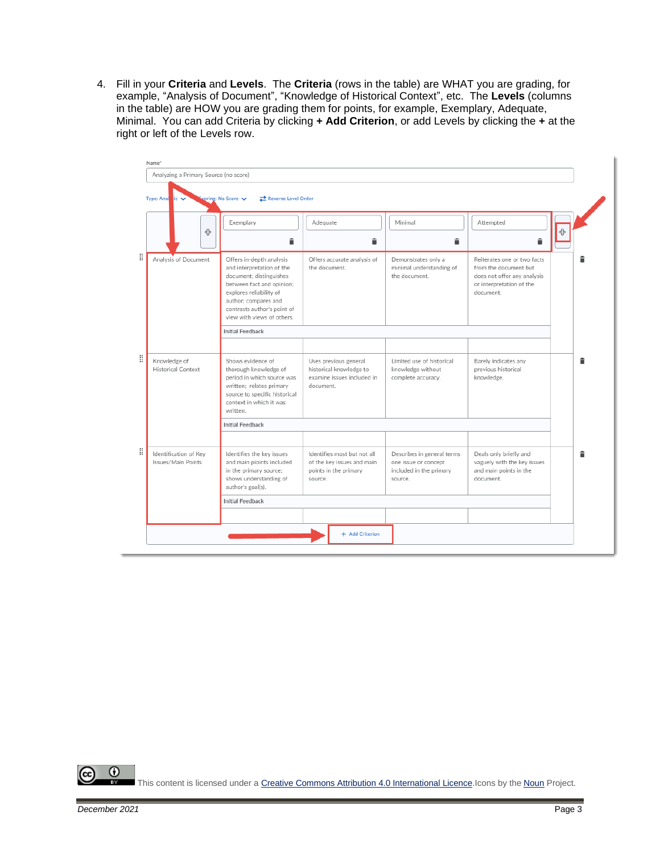4. Fill in your **Criteria** and **Levels**. The **Criteria** (rows in the table) are WHAT you are grading, for example, "Analysis of Document", "Knowledge of Historical Context", etc. The **Levels** (columns in the table) are HOW you are grading them for points, for example, Exemplary, Adequate, Minimal. You can add Criteria by clicking **+ Add Criterion**, or add Levels by clicking the **+** at the right or left of the Levels row.

|   | Name*                                       |                                                                                                                                                                                                                               |                                                                                               |                                                                                          |                                                                                                                              |   |
|---|---------------------------------------------|-------------------------------------------------------------------------------------------------------------------------------------------------------------------------------------------------------------------------------|-----------------------------------------------------------------------------------------------|------------------------------------------------------------------------------------------|------------------------------------------------------------------------------------------------------------------------------|---|
|   | Analyzing a Primary Source (no score)       |                                                                                                                                                                                                                               |                                                                                               |                                                                                          |                                                                                                                              |   |
|   | Type: Ana<br>$i \in \mathbf{V}$             | Reverse Level Order<br>coring: No Score v                                                                                                                                                                                     |                                                                                               |                                                                                          |                                                                                                                              |   |
|   | 4                                           | Exemplary<br>î                                                                                                                                                                                                                | Adequate<br>â                                                                                 | Minimal<br>â                                                                             | Attempted<br>貪                                                                                                               | ⊕ |
|   | Analysis of Document                        | Offers in-depth analysis<br>and interpretation of the<br>document; distinguishes<br>between fact and opinion;<br>explores reliability of<br>author: compares and<br>contrasts author's point of<br>view with views of others. | Offers accurate analysis of<br>the document.                                                  | Demonstrates only a<br>minimal understanding of<br>the document.                         | Reiterates one or two facts<br>from the document but<br>does not offer any analysis<br>or interpretation of the<br>document. |   |
|   |                                             | <b>Initial Feedback</b>                                                                                                                                                                                                       |                                                                                               |                                                                                          |                                                                                                                              |   |
|   |                                             |                                                                                                                                                                                                                               |                                                                                               |                                                                                          |                                                                                                                              |   |
| Ħ | Knowledge of<br><b>Historical Context</b>   | Shows evidence of<br>thorough knowledge of<br>period in which source was<br>written; relates primary<br>source to specific historical<br>context in which it was<br>written.                                                  | Uses previous general<br>historical knowledge to<br>examine issues included in<br>document.   | Limited use of historical<br>knowledge without<br>complete accuracy.                     | Barely indicates any<br>previous historical<br>knowledge.                                                                    |   |
|   |                                             | <b>Initial Feedback</b>                                                                                                                                                                                                       |                                                                                               |                                                                                          |                                                                                                                              |   |
|   |                                             |                                                                                                                                                                                                                               |                                                                                               |                                                                                          |                                                                                                                              |   |
|   | Identification of Key<br>Issues/Main Points | Identifies the key issues<br>and main pioints included<br>in the primary source;<br>shows understanding of<br>author's goal(s).                                                                                               | Identifies most but not all<br>of the key issues and main<br>points in the primary<br>source. | Describes in general terms<br>one issue or concept<br>included in the primary<br>source. | Deals only briefly and<br>vaguely with the key issues<br>and main points in the<br>document.                                 |   |
|   |                                             | <b>Initial Feedback</b>                                                                                                                                                                                                       |                                                                                               |                                                                                          |                                                                                                                              |   |
|   |                                             |                                                                                                                                                                                                                               |                                                                                               |                                                                                          |                                                                                                                              |   |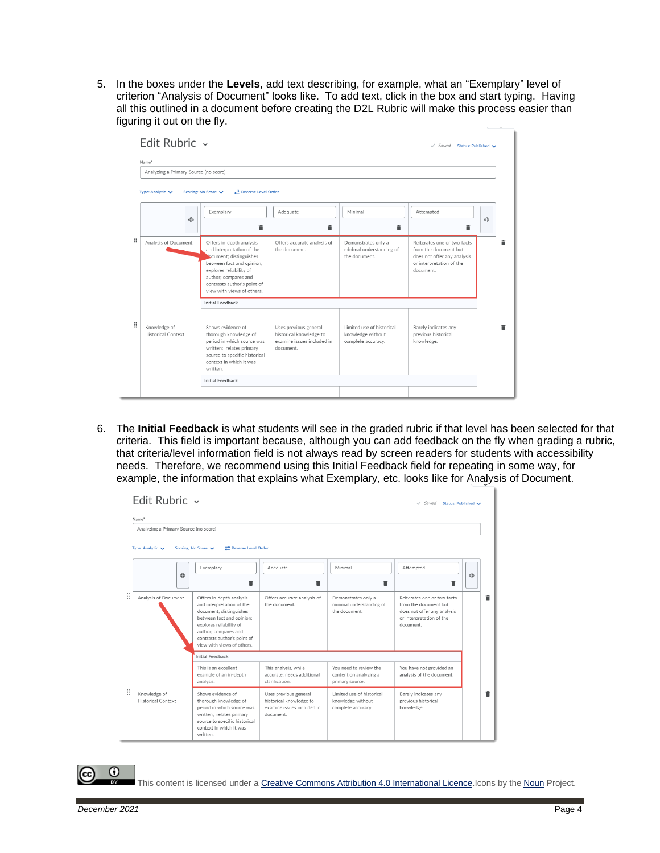5. In the boxes under the **Levels**, add text describing, for example, what an "Exemplary" level of criterion "Analysis of Document" looks like. To add text, click in the box and start typing. Having all this outlined in a document before creating the D2L Rubric will make this process easier than figuring it out on the fly.

|   | Edit Rubric ~<br>Name*                    |                                                                                                                                                                                                                             |                                                                                             |                                                                      | $\sqrt{S}$ aved Status: Published $\sqrt{S}$                                                                                 |   |
|---|-------------------------------------------|-----------------------------------------------------------------------------------------------------------------------------------------------------------------------------------------------------------------------------|---------------------------------------------------------------------------------------------|----------------------------------------------------------------------|------------------------------------------------------------------------------------------------------------------------------|---|
|   | Analyzing a Primary Source (no score)     |                                                                                                                                                                                                                             |                                                                                             |                                                                      |                                                                                                                              |   |
|   | Type: Analytic ↓                          | Scoring: No Score V<br>Reverse Level Order                                                                                                                                                                                  |                                                                                             |                                                                      |                                                                                                                              |   |
|   | ඇ                                         | Exemplary<br>î                                                                                                                                                                                                              | Adequate<br>貪                                                                               | Minimal<br>貪                                                         | Attempted<br>貪                                                                                                               | ඇ |
| Ħ | Analysis of Document                      | Offers in-depth analysis<br>and interpretation of the<br>cument; distinguishes<br>between fact and opinion:<br>explores reliability of<br>author; compares and<br>contrasts author's point of<br>view with views of others. | Offers accurate analysis of<br>the document.                                                | Demonstrates only a<br>minimal understanding of<br>the document.     | Reiterates one or two facts<br>from the document but<br>does not offer any analysis<br>or interpretation of the<br>document. |   |
|   |                                           | <b>Initial Feedback</b>                                                                                                                                                                                                     |                                                                                             |                                                                      |                                                                                                                              |   |
| Ħ | Knowledge of<br><b>Historical Context</b> | Shows evidence of<br>thorough knowledge of<br>period in which source was<br>written: relates primary<br>source to specific historical<br>context in which it was<br>written.                                                | Uses previous general<br>historical knowledge to<br>examine issues included in<br>document. | Limited use of historical<br>knowledge without<br>complete accuracy. | Barely indicates any<br>previous historical<br>knowledge.                                                                    | â |
|   |                                           | <b>Initial Feedback</b>                                                                                                                                                                                                     |                                                                                             |                                                                      |                                                                                                                              |   |
|   |                                           |                                                                                                                                                                                                                             |                                                                                             |                                                                      |                                                                                                                              |   |

6. The **Initial Feedback** is what students will see in the graded rubric if that level has been selected for that criteria. This field is important because, although you can add feedback on the fly when grading a rubric, that criteria/level information field is not always read by screen readers for students with accessibility needs. Therefore, we recommend using this Initial Feedback field for repeating in some way, for example, the information that explains what Exemplary, etc. looks like for Analysis of Document.

|   | Edit Rubric ~                                  |                                                                                                                                                                                                                               |                                                                                             |                                                                      | $\vee$ Saved<br>Status: Published                                                                                            |   |   |
|---|------------------------------------------------|-------------------------------------------------------------------------------------------------------------------------------------------------------------------------------------------------------------------------------|---------------------------------------------------------------------------------------------|----------------------------------------------------------------------|------------------------------------------------------------------------------------------------------------------------------|---|---|
|   | Name*<br>Analyzing a Primary Source (no score) |                                                                                                                                                                                                                               |                                                                                             |                                                                      |                                                                                                                              |   |   |
|   | Type: Analytic ↓                               | Reverse Level Order<br>Scoring: No Score V                                                                                                                                                                                    |                                                                                             |                                                                      |                                                                                                                              |   |   |
|   | ඇ                                              | Exemplary                                                                                                                                                                                                                     | Adequate<br>貪                                                                               | Minimal<br>貪                                                         | Attempted<br>â                                                                                                               | ඇ |   |
| Ħ | Analysis of Document                           | Offers in-depth analysis<br>and interpretation of the<br>document: distinguishes<br>between fact and opinion:<br>explores reliability of<br>author: compares and<br>contrasts author's point of<br>view with views of others. | Offers accurate analysis of<br>the document.                                                | Demonstrates only a<br>minimal understanding of<br>the document.     | Reiterates one or two facts<br>from the document but<br>does not offer any analysis<br>or interpretation of the<br>document. |   | â |
|   |                                                | <b>Initial Feedback</b><br>This is an excellent<br>example of an in-depth<br>analysis.                                                                                                                                        | This analysis, while<br>accurate, needs additional<br>clarification.                        | You need to review the<br>content on analyzing a<br>primary source.  | You have not provided an<br>analysis of the document.                                                                        |   |   |
| Ä | Knowledge of<br><b>Historical Context</b>      | Shows evidence of<br>thorough knowledge of<br>period in which source was<br>written; relates primary<br>source to specific historical<br>context in which it was<br>written.                                                  | Uses previous general<br>historical knowledge to<br>examine issues included in<br>document. | Limited use of historical<br>knowledge without<br>complete accuracy. | Barely indicates any<br>previous historical<br>knowledge.                                                                    |   |   |

 $\odot$ 

This content is licensed under [a Creative Commons Attribution 4.0 International Licence.I](https://creativecommons.org/licenses/by/4.0/)cons by the [Noun](https://creativecommons.org/website-icons/) Project.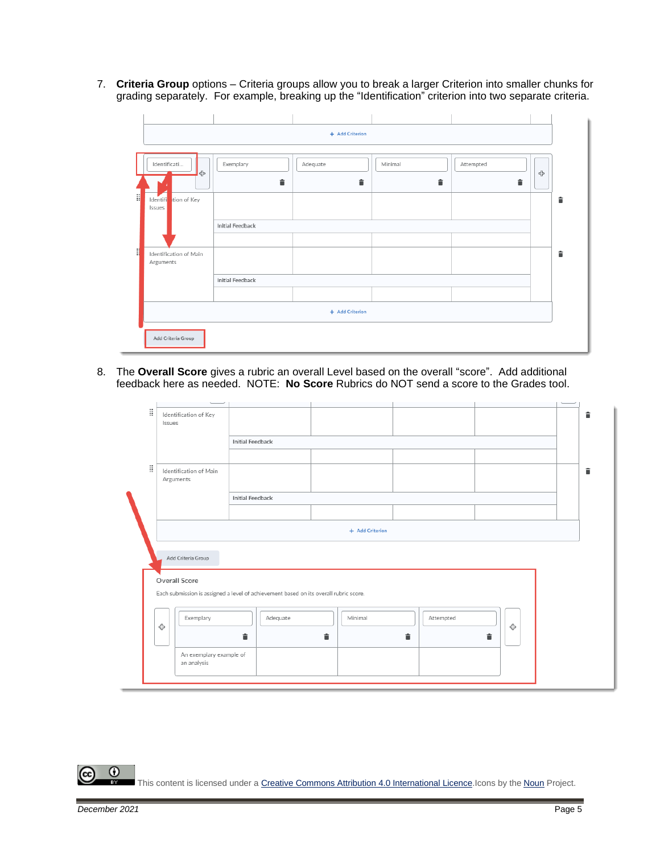7. **Criteria Group** options – Criteria groups allow you to break a larger Criterion into smaller chunks for grading separately. For example, breaking up the "Identification" criterion into two separate criteria.

|              |                                |                         | + Add Criterion |         |           |   |   |
|--------------|--------------------------------|-------------------------|-----------------|---------|-----------|---|---|
|              |                                |                         |                 |         |           |   |   |
|              | Identificati                   | Exemplary               | Adequate        | Minimal | Attempted |   |   |
|              | $\triangleleft$                | û                       | û               | î       | î         | 4 |   |
| $\mathbb{R}$ | Identifi tion of Key<br>Issues |                         |                 |         |           |   | î |
|              |                                | <b>Initial Feedback</b> |                 |         |           |   |   |
|              |                                |                         |                 |         |           |   |   |
| ij           | Identification of Main         |                         |                 |         |           |   | 貪 |
|              | Arguments                      |                         |                 |         |           |   |   |
|              |                                | <b>Initial Feedback</b> |                 |         |           |   |   |
|              |                                |                         |                 |         |           |   |   |
|              |                                |                         | + Add Criterion |         |           |   |   |
|              | Add Criteria Group             |                         |                 |         |           |   |   |

8. The **Overall Score** gives a rubric an overall Level based on the overall "score". Add additional feedback here as needed. NOTE: **No Score** Rubrics do NOT send a score to the Grades tool.

| H | Identification of Key<br>Issues     |                                                                                       |                 |           |   |  |
|---|-------------------------------------|---------------------------------------------------------------------------------------|-----------------|-----------|---|--|
|   |                                     | <b>Initial Feedback</b>                                                               |                 |           |   |  |
|   |                                     |                                                                                       |                 |           |   |  |
| Ħ | Identification of Main<br>Arguments |                                                                                       |                 |           |   |  |
|   |                                     | <b>Initial Feedback</b>                                                               |                 |           |   |  |
|   |                                     |                                                                                       |                 |           |   |  |
|   |                                     |                                                                                       | + Add Criterion |           |   |  |
|   | Add Criteria Group                  |                                                                                       |                 |           |   |  |
|   | Overall Score                       |                                                                                       |                 |           |   |  |
|   |                                     | Each submission is assigned a level of achievement based on its overall rubric score. |                 |           |   |  |
| ⊕ | Exemplary                           | Adequate                                                                              | Minimal         | Attempted | ⊕ |  |
|   | An exemplary example of             | û                                                                                     | 貪               | î         | 貪 |  |
|   | an analysis                         |                                                                                       |                 |           |   |  |
|   |                                     |                                                                                       |                 |           |   |  |

 $\odot$ This content is licensed under [a Creative Commons Attribution 4.0 International Licence.I](https://creativecommons.org/licenses/by/4.0/)cons by the [Noun](https://creativecommons.org/website-icons/) Project.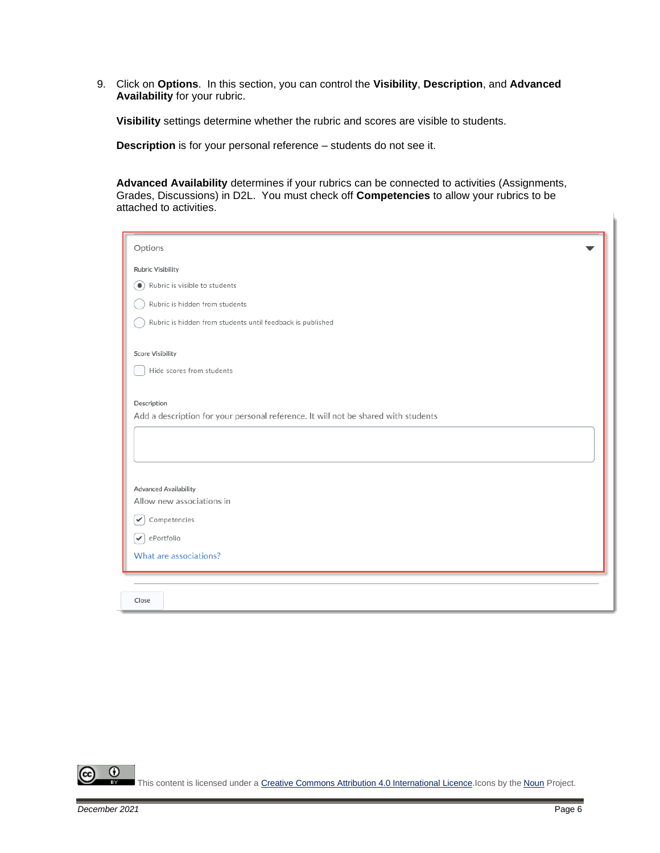9. Click on **Options**. In this section, you can control the **Visibility**, **Description**, and **Advanced Availability** for your rubric.

**Visibility** settings determine whether the rubric and scores are visible to students.

**Description** is for your personal reference – students do not see it.

**Advanced Availability** determines if your rubrics can be connected to activities (Assignments, Grades, Discussions) in D2L. You must check off **Competencies** to allow your rubrics to be attached to activities.

| Options                                                                            |
|------------------------------------------------------------------------------------|
| <b>Rubric Visibility</b>                                                           |
| Rubric is visible to students<br>$\bullet$                                         |
| Rubric is hidden from students                                                     |
| Rubric is hidden from students until feedback is published                         |
|                                                                                    |
| <b>Score Visibility</b>                                                            |
| Hide scores from students                                                          |
|                                                                                    |
| Description                                                                        |
| Add a description for your personal reference. It will not be shared with students |
|                                                                                    |
|                                                                                    |
|                                                                                    |
| <b>Advanced Availability</b>                                                       |
| Allow new associations in                                                          |
| Competencies<br>✓                                                                  |
| ePortfolio<br>$\checkmark$                                                         |
| What are associations?                                                             |
|                                                                                    |
|                                                                                    |
| Close                                                                              |

 $\odot$ This content is licensed under [a Creative Commons Attribution 4.0 International Licence.I](https://creativecommons.org/licenses/by/4.0/)cons by the [Noun](https://creativecommons.org/website-icons/) Project.